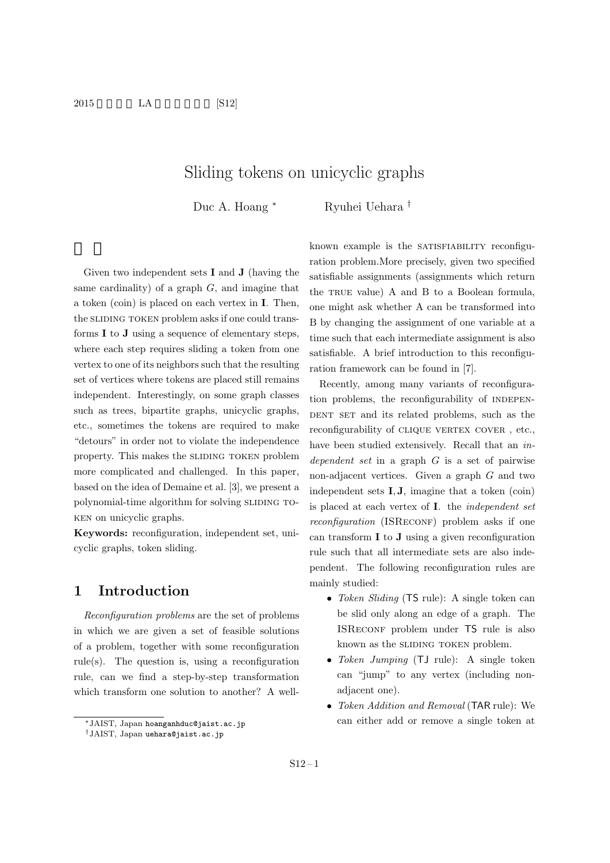$2015$  LA [S12]

# Sliding tokens on unicyclic graphs

Duc A. Hoang *<sup>∗</sup>* Ryuhei Uehara *†*

Given two independent sets **I** and **J** (having the same cardinality) of a graph *G*, and imagine that a token (coin) is placed on each vertex in **I**. Then, the SLIDING TOKEN problem asks if one could transforms **I** to **J** using a sequence of elementary steps, where each step requires sliding a token from one vertex to one of its neighbors such that the resulting set of vertices where tokens are placed still remains independent. Interestingly, on some graph classes such as trees, bipartite graphs, unicyclic graphs, etc., sometimes the tokens are required to make "detours" in order not to violate the independence property. This makes the SLIDING TOKEN problem more complicated and challenged. In this paper, based on the idea of Demaine et al. [3], we present a polynomial-time algorithm for solving SLIDING TOken on unicyclic graphs.

**Keywords:** reconfiguration, independent set, unicyclic graphs, token sliding.

## **1 Introduction**

*Reconfiguration problems* are the set of problems in which we are given a set of feasible solutions of a problem, together with some reconfiguration rule(s). The question is, using a reconfiguration rule, can we find a step-by-step transformation which transform one solution to another? A wellknown example is the SATISFIABILITY reconfiguration problem.More precisely, given two specified satisfiable assignments (assignments which return the TRUE value) A and B to a Boolean formula, one might ask whether A can be transformed into B by changing the assignment of one variable at a time such that each intermediate assignment is also satisfiable. A brief introduction to this reconfiguration framework can be found in [7].

Recently, among many variants of reconfiguration problems, the reconfigurability of INDEPEN-DENT SET and its related problems, such as the reconfigurability of CLIQUE VERTEX COVER, etc., have been studied extensively. Recall that an *independent set* in a graph *G* is a set of pairwise non-adjacent vertices. Given a graph *G* and two independent sets **I***,* **J**, imagine that a token (coin) is placed at each vertex of **I**. the *independent set reconfiguration* (ISRECONF) problem asks if one can transform **I** to **J** using a given reconfiguration rule such that all intermediate sets are also independent. The following reconfiguration rules are mainly studied:

- *• Token Sliding* (TS rule): A single token can be slid only along an edge of a graph. The ISReconf problem under TS rule is also known as the SLIDING TOKEN problem.
- *• Token Jumping* (TJ rule): A single token can "jump" to any vertex (including nonadjacent one).
- *• Token Addition and Removal* (TAR rule): We can either add or remove a single token at

*<sup>∗</sup>*JAIST, Japan hoanganhduc@jaist.ac.jp

*<sup>†</sup>*JAIST, Japan uehara@jaist.ac.jp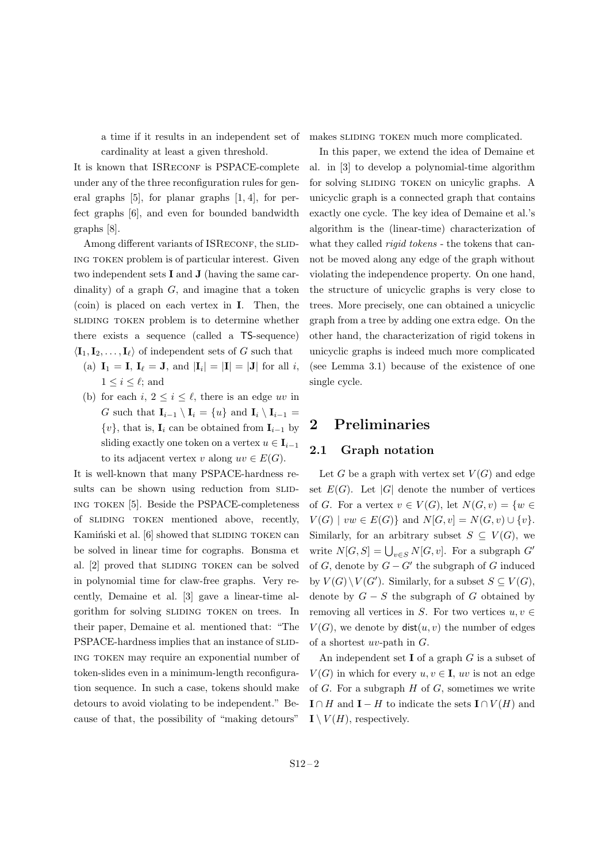a time if it results in an independent set of cardinality at least a given threshold.

It is known that ISRECONF is PSPACE-complete under any of the three reconfiguration rules for general graphs [5], for planar graphs [1, 4], for perfect graphs [6], and even for bounded bandwidth graphs [8].

Among different variants of ISRECONF, the SLIDing token problem is of particular interest. Given two independent sets **I** and **J** (having the same cardinality) of a graph *G*, and imagine that a token (coin) is placed on each vertex in **I**. Then, the sliding token problem is to determine whether there exists a sequence (called a TS-sequence)  $\langle I_1, I_2, \ldots, I_\ell \rangle$  of independent sets of *G* such that

- $\mathbf{I}_{1} = \mathbf{I}, \ \mathbf{I}_{\ell} = \mathbf{J}, \text{ and } |\mathbf{I}_{i}| = |\mathbf{I}| = |\mathbf{J}| \text{ for all } i,$  $1 \leq i \leq \ell$ ; and
- (b) for each  $i, 2 \leq i \leq \ell$ , there is an edge *uv* in *G* such that  $\mathbf{I}_{i-1} \setminus \mathbf{I}_i = \{u\}$  and  $\mathbf{I}_i \setminus \mathbf{I}_{i-1} =$  $\{v\}$ , that is, **I**<sub>*i*</sub> can be obtained from **I**<sub>*i*</sub><sup>*−1*</sup> by sliding exactly one token on a vertex  $u \in I_{i-1}$ to its adjacent vertex *v* along  $uv \in E(G)$ .

It is well-known that many PSPACE-hardness results can be shown using reduction from SLIDing token [5]. Beside the PSPACE-completeness of sliding token mentioned above, recently, Kaminski et al. [6] showed that SLIDING TOKEN can be solved in linear time for cographs. Bonsma et al. [2] proved that SLIDING TOKEN can be solved in polynomial time for claw-free graphs. Very recently, Demaine et al. [3] gave a linear-time algorithm for solving SLIDING TOKEN on trees. In their paper, Demaine et al. mentioned that: "The PSPACE-hardness implies that an instance of SLIDing token may require an exponential number of token-slides even in a minimum-length reconfiguration sequence. In such a case, tokens should make detours to avoid violating to be independent." Because of that, the possibility of "making detours"

makes SLIDING TOKEN much more complicated.

In this paper, we extend the idea of Demaine et al. in [3] to develop a polynomial-time algorithm for solving SLIDING TOKEN on unicylic graphs. A unicyclic graph is a connected graph that contains exactly one cycle. The key idea of Demaine et al.'s algorithm is the (linear-time) characterization of what they called *rigid tokens* - the tokens that cannot be moved along any edge of the graph without violating the independence property. On one hand, the structure of unicyclic graphs is very close to trees. More precisely, one can obtained a unicyclic graph from a tree by adding one extra edge. On the other hand, the characterization of rigid tokens in unicyclic graphs is indeed much more complicated (see Lemma 3.1) because of the existence of one single cycle.

## **2 Preliminaries**

#### **2.1 Graph notation**

Let *G* be a graph with vertex set  $V(G)$  and edge set  $E(G)$ . Let  $|G|$  denote the number of vertices of *G*. For a vertex  $v \in V(G)$ , let  $N(G, v) = \{w \in$  $V(G) \mid vw \in E(G)$ } and  $N[G, v] = N(G, v) \cup \{v\}$ . Similarly, for an arbitrary subset  $S \subseteq V(G)$ , we write  $N[G, S] = \bigcup_{v \in S} N[G, v]$ . For a subgraph  $G'$ of *G*, denote by *G − G′* the subgraph of *G* induced by  $V(G) \setminus V(G')$ . Similarly, for a subset  $S \subseteq V(G)$ , denote by  $G - S$  the subgraph of  $G$  obtained by removing all vertices in *S*. For two vertices  $u, v \in$  $V(G)$ , we denote by  $dist(u, v)$  the number of edges of a shortest *uv*-path in *G*.

An independent set **I** of a graph *G* is a subset of  $V(G)$  in which for every  $u, v \in I$ ,  $uv$  is not an edge of *G*. For a subgraph *H* of *G*, sometimes we write **I** ∩ *H* and **I** − *H* to indicate the sets **I** ∩ *V* (*H*) and  $\mathbf{I} \setminus V(H)$ , respectively.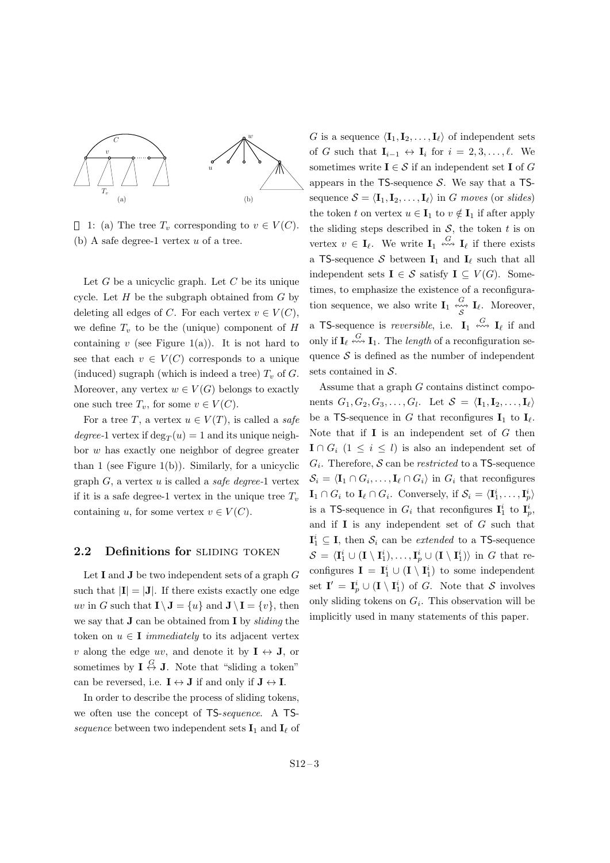

1: (a) The tree  $T_v$  corresponding to  $v \in V(C)$ . (b) A safe degree-1 vertex *u* of a tree.

Let *G* be a unicyclic graph. Let *C* be its unique cycle. Let *H* be the subgraph obtained from *G* by deleting all edges of *C*. For each vertex  $v \in V(C)$ , we define  $T_v$  to be the (unique) component of  $H$ containing  $v$  (see Figure 1(a)). It is not hard to see that each  $v \in V(C)$  corresponds to a unique (induced) sugraph (which is indeed a tree)  $T<sub>v</sub>$  of  $G$ . Moreover, any vertex  $w \in V(G)$  belongs to exactly one such tree  $T_v$ , for some  $v \in V(C)$ .

For a tree *T*, a vertex  $u \in V(T)$ , is called a *safe degree*-1 vertex if  $\deg_T(u) = 1$  and its unique neighbor *w* has exactly one neighbor of degree greater than 1 (see Figure 1(b)). Similarly, for a unicyclic graph *G*, a vertex *u* is called a *safe degree-*1 vertex if it is a safe degree-1 vertex in the unique tree  $T<sub>v</sub>$ containing *u*, for some vertex  $v \in V(C)$ .

#### 2.2 Definitions for SLIDING TOKEN

Let **I** and **J** be two independent sets of a graph *G* such that  $|\mathbf{I}| = |\mathbf{J}|$ . If there exists exactly one edge *uv* in *G* such that  $\mathbf{I} \setminus \mathbf{J} = \{u\}$  and  $\mathbf{J} \setminus \mathbf{I} = \{v\}$ , then we say that **J** can be obtained from **I** by *sliding* the token on  $u \in I$  *immediately* to its adjacent vertex *v* along the edge *uv*, and denote it by  $I \leftrightarrow J$ , or sometimes by  $I \stackrel{G}{\leftrightarrow} J$ . Note that "sliding a token" can be reversed, i.e.  $I \leftrightarrow J$  if and only if  $J \leftrightarrow I$ .

In order to describe the process of sliding tokens, we often use the concept of TS-*sequence*. A TS*sequence* between two independent sets  $\mathbf{I}_1$  and  $\mathbf{I}_\ell$  of *G* is a sequence  $\langle \mathbf{I}_1, \mathbf{I}_2, \ldots, \mathbf{I}_{\ell} \rangle$  of independent sets of *G* such that  $\mathbf{I}_{i-1} \leftrightarrow \mathbf{I}_i$  for  $i = 2, 3, \ldots, \ell$ . We sometimes write  $I \in \mathcal{S}$  if an independent set **I** of *G* appears in the TS-sequence *S*. We say that a TSsequence  $S = \langle I_1, I_2, \ldots, I_\ell \rangle$  in *G moves* (or *slides*) the token *t* on vertex  $u \in I_1$  to  $v \notin I_1$  if after apply the sliding steps described in  $S$ , the token  $t$  is on vertex  $v \in I_{\ell}$ . We write  $I_1 \stackrel{G}{\leftrightsquigarrow} I_{\ell}$  if there exists a TS-sequence  $S$  between  $I_1$  and  $I_\ell$  such that all independent sets  $\mathbf{I} \in \mathcal{S}$  satisfy  $\mathbf{I} \subseteq V(G)$ . Sometimes, to emphasize the existence of a reconfiguration sequence, we also write  $\mathbf{I}_1 \overset{G}{\underset{S}{\ast\ast\ast}} \mathbf{I}_{\ell}$ . Moreover, a TS-sequence is *reversible*, i.e.  $I_1 \stackrel{G}{\leftrightsquigarrow} I_\ell$  if and only if  $\mathbf{I}_{\ell} \stackrel{G}{\n\leftrightarrow} \mathbf{I}_{1}$ . The *length* of a reconfiguration sequence  $S$  is defined as the number of independent sets contained in *S*.

Assume that a graph *G* contains distinct components  $G_1, G_2, G_3, \ldots, G_l$ . Let  $S = \langle \mathbf{I}_1, \mathbf{I}_2, \ldots, \mathbf{I}_l \rangle$ be a TS-sequence in *G* that reconfigures  $I_1$  to  $I_\ell$ . Note that if **I** is an independent set of *G* then **I** ∩  $G_i$  (1 ≤ *i* ≤ *l*) is also an independent set of *Gi* . Therefore, *S* can be *restricted* to a TS-sequence  $\mathcal{S}_i = \langle \mathbf{I}_1 \cap G_i, \dots, \mathbf{I}_{\ell} \cap G_i \rangle$  in  $G_i$  that reconfigures  $\mathbf{I}_1 \cap G_i$  to  $\mathbf{I}_\ell \cap G_i$ . Conversely, if  $\mathcal{S}_i = \langle \mathbf{I}_1^i, \ldots, \mathbf{I}_p^i \rangle$ is a TS-sequence in  $G_i$  that reconfigures  $I_1^i$  to  $I_p^i$ , and if **I** is any independent set of *G* such that  $\mathbf{I}_1^i \subseteq \mathbf{I}$ , then  $\mathcal{S}_i$  can be *extended* to a TS-sequence  $S = \langle I_1^i \cup (I \setminus I_1^i), \ldots, I_p^i \cup (I \setminus I_1^i) \rangle$  in *G* that reconfigures  $I = I_1^i \cup (I \setminus I_1^i)$  to some independent set  $I' = I_p^i \cup (I \setminus I_1^i)$  of *G*. Note that *S* involves only sliding tokens on  $G_i$ . This observation will be implicitly used in many statements of this paper.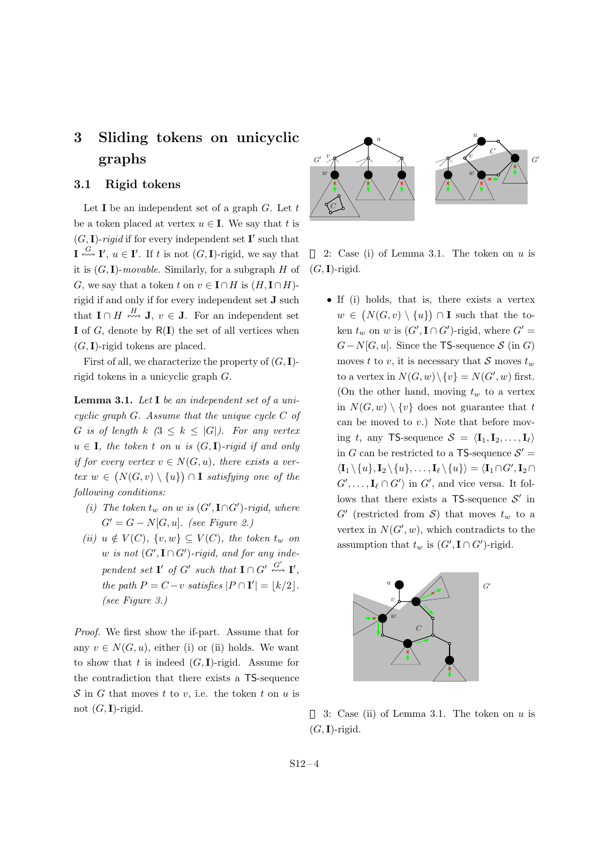## **3 Sliding tokens on unicyclic graphs**

### **3.1 Rigid tokens**

Let **I** be an independent set of a graph *G*. Let *t* be a token placed at vertex  $u \in I$ . We say that *t* is  $(G, I)$ -*rigid* if for every independent set **I'** such that  $\mathbf{I} \stackrel{G}{\sim \sim} \mathbf{I}'$ ,  $u \in \mathbf{I}'$ . If *t* is not  $(G, \mathbf{I})$ -rigid, we say that it is  $(G, I)$ -*movable*. Similarly, for a subgraph *H* of *G*, we say that a token *t* on  $v \in \mathbf{I} \cap H$  is  $(H, \mathbf{I} \cap H)$ rigid if and only if for every independent set **J** such that  $I \cap H \stackrel{H}{\nleftrightarrow} J$ ,  $v \in J$ . For an independent set **I** of *G*, denote by R(**I**) the set of all vertices when  $(G, I)$ -rigid tokens are placed. **3** Shiding tokens on uncyclic<br>
graphs<br>
1. Rigid tokens<br>
1.1 Rigid tokens<br>
1.5.1 Rigid tokens<br>
1.4.2.  $\mathcal{L}$ . Let  $t$ <br>
be a token placed at vertex  $u \in I$ . We say that t is<br>  $(G, I)$ -rigid if for every independent set  $I'$ 

First of all, we characterize the property of  $(G, I)$ rigid tokens in a unicyclic graph *G*.

**Lemma 3.1.** *Let* **I** *be an independent set of a unicyclic graph G. Assume that the unique cycle C of G is of length*  $k$   $(3 \leq k \leq |G|)$ *. For any vertex*  $u \in I$ *, the token t on u is*  $(G, I)$ *-rigid if and only if for every vertex*  $v \in N(G, u)$ *, there exists a vertex w* ∈  $(N(G, v) \setminus \{u\})$  ∩ **I** *satisfying one of the following conditions:*

- *(i) The token*  $t_w$  *on*  $w$  *is*  $(G', \mathbf{I} \cap G')$ *-rigid, where G′* = *G − N*[*G, u*]*. (see Figure 2.)*
- $(iii)$   $u \notin V(C)$ ,  $\{v, w\} \subseteq V(C)$ , the token  $t_w$  on  $w$  *is not*  $(G', \mathbf{I} \cap G')$ *-rigid, and for any independent set*  $\mathbf{I}'$  *of*  $G'$  *such that*  $\mathbf{I} \cap G' \stackrel{G'}{\nleftrightarrow} \mathbf{I}'$ , *the path*  $P = C - v$  *satisfies*  $|P \cap I'| = \lfloor k/2 \rfloor$ . *(see Figure 3.)*

*Proof.* We first show the if-part. Assume that for any  $v \in N(G, u)$ , either (i) or (ii) holds. We want to show that  $t$  is indeed  $(G, I)$ -rigid. Assume for the contradiction that there exists a TS-sequence *S* in *G* that moves *t* to *v*, i.e. the token *t* on *u* is



2: Case (i) of Lemma 3.1. The token on *u* is  $(G, I)$ -rigid.

• If (i) holds, that is, there exists a vertex  $w \in (N(G, v) \setminus \{u\}) \cap \mathbf{I}$  such that the token  $t_w$  on  $w$  is  $(G', \mathbf{I} \cap G')$ -rigid, where  $G' =$  $G - N[G, u]$ . Since the TS-sequence *S* (in *G*) moves *t* to *v*, it is necessary that *S* moves  $t_w$ to a vertex in  $N(G, w) \setminus \{v\} = N(G', w)$  first. (On the other hand, moving  $t_w$  to a vertex in  $N(G, w) \setminus \{v\}$  does not guarantee that *t* can be moved to *v*.) Note that before moving *t*, any TS-sequence  $S = \langle I_1, I_2, \ldots, I_\ell \rangle$ in *G* can be restricted to a TS-sequence  $S' =$  $\langle \mathbf{I}_1 \setminus \{u\}, \mathbf{I}_2 \setminus \{u\}, \ldots, \mathbf{I}_{\ell} \setminus \{u\}\rangle = \langle \mathbf{I}_1 \cap G', \mathbf{I}_2 \cap$  $G'$ , ...,  $\mathbf{I}_{\ell} \cap G'$  in  $G'$ , and vice versa. It follows that there exists a TS-sequence *S ′* in  $G'$  (restricted from *S*) that moves  $t_w$  to a vertex in  $N(G', w)$ , which contradicts to the assumption that  $t_w$  is  $(G', \mathbf{I} \cap G')$ -rigid.



3: Case (ii) of Lemma 3.1. The token on *u* is  $(G, I)$ -rigid.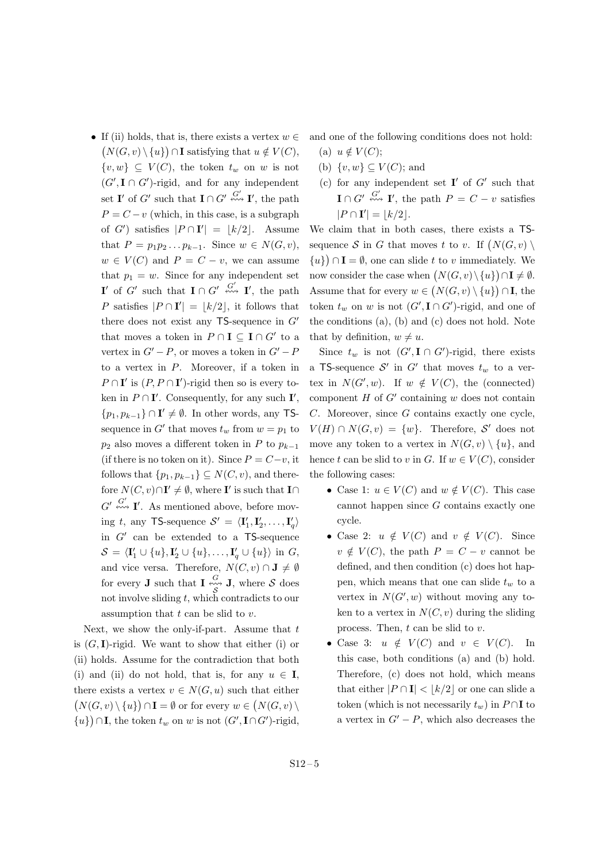*•* If (ii) holds, that is, there exists a vertex *w ∈*  $(N(G, v) \setminus \{u\})$ ∩**I** satisfying that  $u \notin V(C)$ , *{v, w}* ⊆ *V*(*C*), the token  $t_w$  on *w* is not  $(G', \mathbf{I} \cap G')$ -rigid, and for any independent set **I**' of *G*<sup>'</sup> such that **I** $\cap$  *G*<sup>'</sup>  $\stackrel{G'}{\leftrightarrow}$ **I**<sup>'</sup>, the path  $P = C - v$  (which, in this case, is a subgraph of *G*<sup> $\prime$ </sup>) satisfies  $|P \cap I'| = \lfloor k/2 \rfloor$ . Assume that  $P = p_1 p_2 \t ... p_{k-1}$ . Since  $w ∈ N(G, v)$ ,  $w \in V(C)$  and  $P = C - v$ , we can assume that  $p_1 = w$ . Since for any independent set **I**<sup>*′*</sup> of *G*<sup>*′*</sup> such that **I**  $\cap$  *G*<sup>*′*</sup>  $\stackrel{G'}{\leftrightarrow}$  **I**<sup>*′*</sup>, the path *P* satisfies  $|P \cap I'| = \lfloor k/2 \rfloor$ , it follows that there does not exist any TS-sequence in *G′* that moves a token in  $P \cap \mathbf{I} \subseteq \mathbf{I} \cap G'$  to a vertex in  $G' - P$ , or moves a token in  $G' - P$ to a vertex in *P*. Moreover, if a token in  $P \cap \mathbf{I}'$  is  $(P, P \cap \mathbf{I}')$ -rigid then so is every token in  $P \cap \mathbf{I}'$ . Consequently, for any such  $\mathbf{I}'$ , *{p*<sub>1</sub>*, p*<sub>*k*−1</sub>} ∩ **I**<sup></sup>  $\neq$   $\emptyset$ *.* In other words, any TSsequence in  $G'$  that moves  $t_w$  from  $w = p_1$  to  $p_2$  also moves a different token in *P* to  $p_{k-1}$ (if there is no token on it). Since  $P = C - v$ , it follows that  $\{p_1, p_{k-1}\} \subseteq N(C, v)$ , and therefore  $N(C, v) \cap I' \neq \emptyset$ , where **I**' is such that **I** $\cap$  $G' \stackrel{G'}{\nleftrightarrow} \mathbf{I}'$ . As mentioned above, before mov- $\text{ing } t, \text{ any } \mathsf{T}$ S-sequence  $\mathcal{S}' = \langle \mathbf{I}'_1, \mathbf{I}'_2, \dots, \mathbf{I}'_q \rangle$ in *G′* can be extended to a TS-sequence  $\mathcal{S} = \langle \mathbf{I}'_1 \cup \{u\}, \mathbf{I}'_2 \cup \{u\}, \dots, \mathbf{I}'_q \cup \{u\} \rangle$  in *G*, and vice versa. Therefore,  $N(C, v) \cap \mathbf{J} \neq \emptyset$ for every **J** such that **I**  $\stackrel{G}{\sim}$  **J**, where *S* does *S* not involve sliding *t*, which contradicts to our assumption that *t* can be slid to *v*.

Next, we show the only-if-part. Assume that *t* is  $(G, I)$ -rigid. We want to show that either (i) or (ii) holds. Assume for the contradiction that both (i) and (ii) do not hold, that is, for any  $u \in I$ , there exists a vertex  $v \in N(G, u)$  such that either  $(N(G, v) \setminus \{u\}) \cap \mathbf{I} = \emptyset$  or for every  $w \in (N(G, v) \setminus \{u\})$ *{u*<sup>}</sup> *∩***I**, the token *t<sub><i>w*</sub> on *w* is not (*G'*, **I**∩*G'*)-rigid, and one of the following conditions does not hold:

- (a)  $u \notin V(C);$
- (b)  $\{v, w\} \subseteq V(C)$ ; and
- (c) for any independent set **I** *′* of *G′* such that  $\mathbf{I} \cap G' \stackrel{G'}{\nleftrightarrow} \mathbf{I}'$ , the path  $P = C - v$  satisfies  $|P \cap I'| = \lfloor k/2 \rfloor$ .

We claim that in both cases, there exists a TSsequence *S* in *G* that moves *t* to *v*. If  $(N(G, v) \setminus$  ${u}$  (*u*}) ∩ **I** =  $\emptyset$ , one can slide *t* to *v* immediately. We now consider the case when  $(N(G, v) \setminus \{u\}) \cap \mathbf{I} \neq \emptyset$ . Assume that for every  $w \in (N(G, v) \setminus \{u\}) \cap \mathbf{I}$ , the token  $t_w$  on  $w$  is not  $(G', \mathbf{I} \cap G')$ -rigid, and one of the conditions (a), (b) and (c) does not hold. Note that by definition,  $w \neq u$ .

Since  $t_w$  is not  $(G', \mathbf{I} \cap G')$ -rigid, there exists a TS-sequence  $S'$  in  $G'$  that moves  $t_w$  to a vertex in  $N(G', w)$ . If  $w \notin V(C)$ , the (connected) component *H* of *G′* containing *w* does not contain *C*. Moreover, since *G* contains exactly one cycle,  $V(H) \cap N(G, v) = \{w\}$ . Therefore, *S*<sup>'</sup> does not move any token to a vertex in  $N(G, v) \setminus \{u\}$ , and hence *t* can be slid to *v* in *G*. If  $w \in V(C)$ , consider the following cases:

- Case 1:  $u \in V(C)$  and  $w \notin V(C)$ . This case cannot happen since *G* contains exactly one cycle.
- Case 2:  $u \notin V(C)$  and  $v \notin V(C)$ . Since  $v \notin V(C)$ , the path  $P = C - v$  cannot be defined, and then condition (c) does hot happen, which means that one can slide *t<sup>w</sup>* to a vertex in  $N(G', w)$  without moving any token to a vertex in  $N(C, v)$  during the sliding process. Then, *t* can be slid to *v*.
- Case 3:  $u \notin V(C)$  and  $v \in V(C)$ . In this case, both conditions (a) and (b) hold. Therefore, (c) does not hold, which means that either  $|P \cap I| < |k/2|$  or one can slide a token (which is not necessarily  $t_w$ ) in  $P \cap \mathbf{I}$  to a vertex in  $G' - P$ , which also decreases the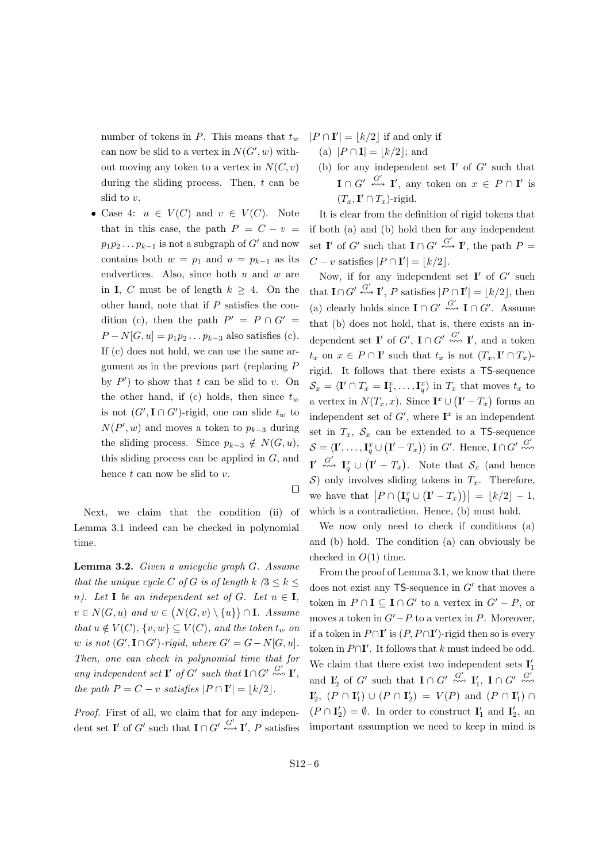number of tokens in *P*. This means that *t<sup>w</sup>* can now be slid to a vertex in  $N(G', w)$  without moving any token to a vertex in  $N(C, v)$ during the sliding process. Then, *t* can be slid to *v*.

• Case 4:  $u \in V(C)$  and  $v \in V(C)$ . Note that in this case, the path  $P = C - v$  $p_1p_2 \ldots p_{k-1}$  is not a subgraph of *G<sup>'</sup>* and now contains both  $w = p_1$  and  $u = p_{k-1}$  as its endvertices. Also, since both *u* and *w* are in **I**, *C* must be of length  $k > 4$ . On the other hand, note that if *P* satisfies the condition (c), then the path  $P' = P \cap G' =$  $P - N[G, u] = p_1 p_2 \dots p_{k-3}$  also satisfies (c). If (c) does not hold, we can use the same argument as in the previous part (replacing *P* by  $P'$  to show that  $t$  can be slid to  $v$ . On the other hand, if (c) holds, then since  $t_w$ is not  $(G', I \cap G')$ -rigid, one can slide  $t_w$  to  $N(P', w)$  and moves a token to  $p_{k-3}$  during the sliding process. Since  $p_{k-3} \notin N(G, u)$ , this sliding process can be applied in *G*, and hence *t* can now be slid to *v*.

Next, we claim that the condition (ii) of Lemma 3.1 indeed can be checked in polynomial

time.

**Lemma 3.2.** *Given a unicyclic graph G. Assume that the unique cycle C of G is of length*  $k$   $(3 \leq k \leq$ *n).* Let **I** be an independent set of *G.* Let  $u \in I$ *, v* ∈ *N*(*G*, *u*) *and w* ∈ (*N*(*G*, *v*) *\* {*u*}) ∩ **I***. Assume that*  $u \notin V(C)$ ,  $\{v, w\} \subseteq V(C)$ , and the token  $t_w$  on  $w$  *is not*  $(G', \textbf{I} \cap G')$ *-rigid, where*  $G' = G - N[G, u]$ *. Then, one can check in polynomial time that for* any independent set  $\mathbf{I}'$  of  $G'$  such that  $\mathbf{I} \cap G' \stackrel{G'}{\nleftrightarrow} \mathbf{I}'$ , *the path*  $P = C - v$  *satisfies*  $|P \cap I'| = \lfloor k/2 \rfloor$ .

*Proof.* First of all, we claim that for any independent set **I**' of *G*<sup>'</sup> such that **I** $\cap$  *G*<sup>'</sup>  $\stackrel{G'}{\leftrightarrow}$ **I**<sup>'</sup>, *P* satisfies  $|P \cap I'| = \lfloor k/2 \rfloor$  if and only if

- $(a)$   $|P \cap I| = |k/2|$ ; and
- (b) for any independent set  $I'$  of  $G'$  such that  $\mathbf{I} \cap G' \stackrel{G'}{\nleftrightarrow} \mathbf{I}'$ , any token on  $x \in P \cap \mathbf{I}'$  is  $(T_x, \mathbf{I}' \cap T_x)$ -rigid.

It is clear from the definition of rigid tokens that if both (a) and (b) hold then for any independent set **I**' of *G*<sup>'</sup> such that **I** $\cap$  *G*<sup>'</sup>  $\stackrel{G'}{\leftrightarrow}$  **I**', the path  $P =$  $C - v$  satisfies  $|P \cap \mathbf{I}'| = \lfloor k/2 \rfloor$ .

Now, if for any independent set **I**<sup> $\prime$ </sup> of *G*<sup> $\prime$ </sup> such that  $\mathbf{I} \cap G' \stackrel{G'}{\nleftrightarrow} \mathbf{I}'$ , *P* satisfies  $|P \cap \mathbf{I}'| = \lfloor k/2 \rfloor$ , then (a) clearly holds since  $\mathbf{I} \cap G' \stackrel{G'}{\nleftrightarrow} \mathbf{I} \cap G'$ . Assume that (b) does not hold, that is, there exists an independent set **I**' of  $G'$ ,  $I \cap G' \stackrel{G'}{\nleftrightarrow} I'$ , and a token  $t_x$  on  $x \in P \cap I'$  such that  $t_x$  is not  $(T_x, I' \cap T_x)$ rigid. It follows that there exists a TS-sequence  $\mathcal{S}_x = \langle \mathbf{I}' \cap T_x = \mathbf{I}_1^x, \dots, \mathbf{I}_q^x \rangle$  in  $T_x$  that moves  $t_x$  to a vertex in  $N(T_x, x)$ . Since  $\mathbf{I}^x \cup (\mathbf{I}' - T_x)$  forms an independent set of  $G'$ , where  $\mathbf{I}^x$  is an independent set in  $T_x$ ,  $S_x$  can be extended to a TS-sequence  $\mathcal{S} = \langle \mathbf{I}', \ldots, \mathbf{I}^x_q \cup (\mathbf{I}' - T_x) \rangle$  in G'. Hence,  $\mathbf{I} \cap G' \stackrel{G'}{\nleftrightarrow \infty}$  $\mathbf{I}' \stackrel{G'}{\nleftrightarrow} \mathbf{I}^x_q \cup (\mathbf{I}' - T_x)$ . Note that  $\mathcal{S}_x$  (and hence *S*) only involves sliding tokens in  $T_x$ . Therefore, we have that  $|P \cap (\mathbf{I}_{q}^{x} \cup (\mathbf{I}' - T_{x}))| = \lfloor k/2 \rfloor - 1$ , which is a contradiction. Hence, (b) must hold.

We now only need to check if conditions (a) and (b) hold. The condition (a) can obviously be checked in *O*(1) time.

From the proof of Lemma 3.1, we know that there does not exist any TS-sequence in *G′* that moves a token in  $P \cap \mathbf{I} \subseteq \mathbf{I} \cap G'$  to a vertex in  $G' - P$ , or moves a token in  $G' - P$  to a vertex in *P*. Moreover, if a token in  $P \cap I'$  is  $(P, P \cap I')$ -rigid then so is every token in  $P \cap I'$ . It follows that *k* must indeed be odd. We claim that there exist two independent sets  $\mathbf{I}'_1$ and  $\mathbf{I}'_2$  of  $G'$  such that  $\mathbf{I} \cap G' \stackrel{G'}{\nleftrightarrow \nrightarrow} \mathbf{I}'_1$ ,  $\mathbf{I} \cap G' \stackrel{G'}{\nleftrightarrow \nrightarrow}$  $\mathbf{I}'_2$ ,  $(P \cap \mathbf{I}'_1) \cup (P \cap \mathbf{I}'_2) = V(P)$  and  $(P \cap \mathbf{I}'_1) \cap$  $(P \cap I'_2) = \emptyset$ . In order to construct  $I'_1$  and  $I'_2$ , and important assumption we need to keep in mind is

 $\Box$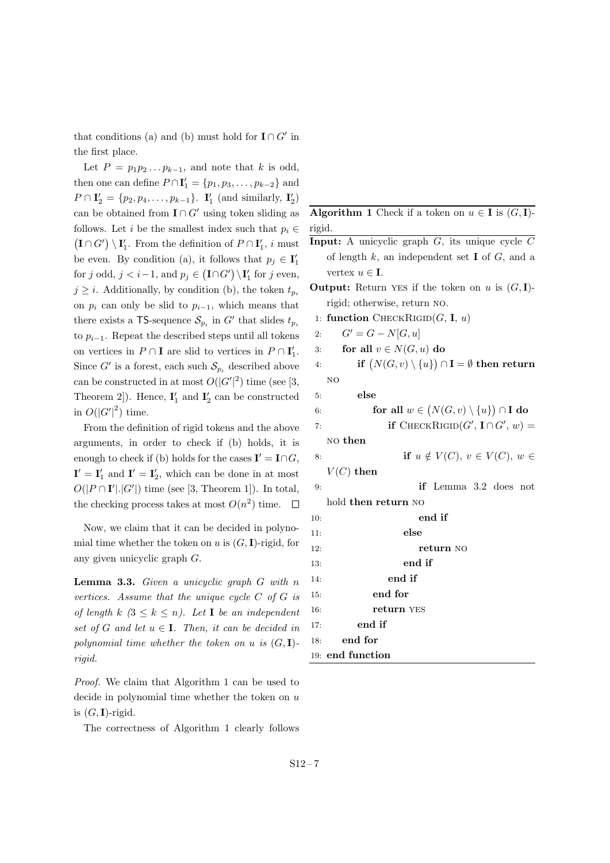that conditions (a) and (b) must hold for  $\mathbf{I} \cap G'$  in the first place.

Let  $P = p_1 p_2 \ldots p_{k-1}$ , and note that *k* is odd, then one can define  $P \cap I'_1 = \{p_1, p_3, \ldots, p_{k-2}\}$  and  $P \cap \mathbf{I}'_2 = \{p_2, p_4, \dots, p_{k-1}\}.$  **I**'<sub>1</sub> (and similarly, **I**'<sub>2</sub>) can be obtained from  $\mathbf{I} \cap G'$  using token sliding as follows. Let *i* be the smallest index such that  $p_i \in$  $(\mathbf{I} \cap G') \setminus \mathbf{I}'_1$ . From the definition of  $P \cap \mathbf{I}'_1$ , *i* must be even. By condition (a), it follows that  $p_j \in I'_1$ for *j* odd,  $j < i-1$ , and  $p_j \in (\mathbf{I} \cap G') \setminus \mathbf{I}'_1$  for *j* even,  $j \geq i$ . Additionally, by condition (b), the token  $t_{p_i}$ on  $p_i$  can only be slid to  $p_{i-1}$ , which means that there exists a TS-sequence  $S_{p_i}$  in  $G'$  that slides  $t_{p_i}$ to  $p_{i-1}$ . Repeat the described steps until all tokens on vertices in  $P \cap \mathbf{I}$  are slid to vertices in  $P \cap \mathbf{I}'_1$ . Since  $G'$  is a forest, each such  $S_{p_i}$  described above can be constructed in at most  $O(|G'|^2)$  time (see [3, Theorem 2]). Hence,  $I'_1$  and  $I'_2$  can be constructed in  $O(|G'|^2)$  time.

From the definition of rigid tokens and the above arguments, in order to check if (b) holds, it is enough to check if (b) holds for the cases  $\mathbf{I}' = \mathbf{I} \cap G$ ,  $\mathbf{I}' = \mathbf{I}'_1$  and  $\mathbf{I}' = \mathbf{I}'_2$ , which can be done in at most  $O(|P \cap I'| |G'|)$  time (see [3, Theorem 1]). In total, the checking process takes at most  $O(n^2)$  time.

Now, we claim that it can be decided in polynomial time whether the token on  $u$  is  $(G, I)$ -rigid, for any given unicyclic graph *G*.

**Lemma 3.3.** *Given a unicyclic graph G with n vertices. Assume that the unique cycle C of G is of length*  $k \leq 3 \leq k \leq n$ *). Let* **I** *be an independent set of*  $G$  *and let*  $u \in I$ *. Then, it can be decided in polynomial time whether the token on*  $u$  *is*  $(G, I)$ *rigid.*

*Proof.* We claim that Algorithm 1 can be used to decide in polynomial time whether the token on *u* is  $(G, I)$ -rigid.

The correctness of Algorithm 1 clearly follows

**Algorithm 1** Check if a token on  $u \in I$  is  $(G, I)$ rigid.

- **Input:** A unicyclic graph *G*, its unique cycle *C* of length *k*, an independent set **I** of *G*, and a vertex  $u \in I$ .
- **Output:** Return YES if the token on *u* is  $(G, I)$ rigid; otherwise, return no.
- 1: **function** CHECKRIGID $(G, I, u)$

2: 
$$
G' = G - N[G, u]
$$
  
\n3: **for all**  $v \in N(G, u)$  **do**  
\n4: **if**  $(N(G, v) \setminus \{u\}) \cap I = \emptyset$  **then r**

*∩* **I** = *∅* **then return** no

5: **else**

6: **for all**  $w \in (N(G, v) \setminus \{u\}) \cap \mathbf{I}$  do

7: if 
$$
\text{CHECKRIGID}(G', \mathbf{I} \cap G', w) =
$$

no **then**

```
8: if u \notin V(C), v \in V(C), w \in
```

```
V(C) then
```

```
9: if Lemma 3.2 does not
 hold then return no
```

```
10: end if
11: else
12: return no
13: end if
14: end if
15: end for
16: return yes
17: end if
18: end for
19: end function
```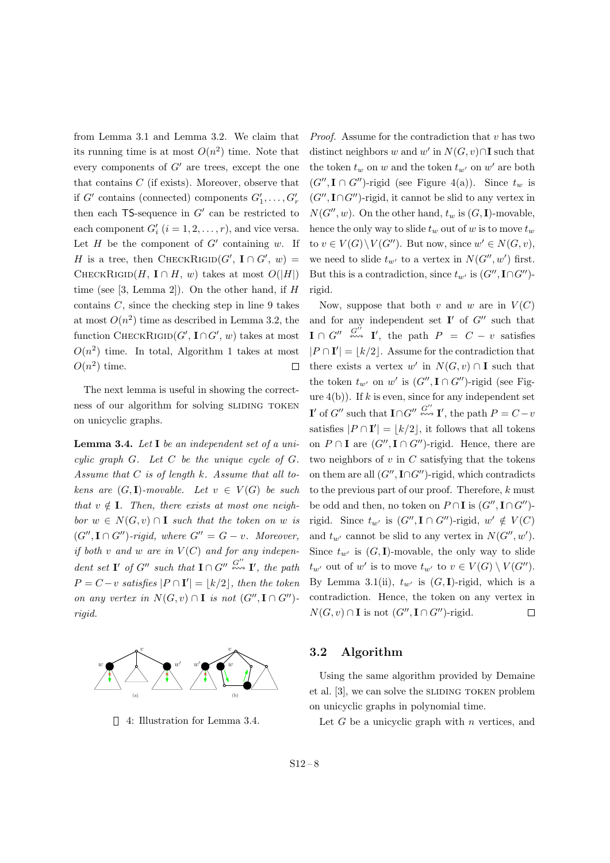from Lemma 3.1 and Lemma 3.2. We claim that its running time is at most  $O(n^2)$  time. Note that every components of *G′* are trees, except the one that contains *C* (if exists). Moreover, observe that if  $G'$  contains (connected) components  $G'_1, \ldots, G'_r$ then each TS-sequence in *G′* can be restricted to each component  $G'_{i}$   $(i = 1, 2, \ldots, r)$ , and vice versa. Let  $H$  be the component of  $G'$  containing  $w$ . If *H* is a tree, then CHECKRIGID $(G', \mathbf{I} \cap G', w)$  = CHECKRIGID $(H, I \cap H, w)$  takes at most  $O(|H|)$ time (see [3, Lemma 2]). On the other hand, if *H* contains *C*, since the checking step in line 9 takes at most  $O(n^2)$  time as described in Lemma 3.2, the function CHECKRIGID $(G', \mathbf{I} \cap G', w)$  takes at most  $O(n^2)$  time. In total, Algorithm 1 takes at most  $O(n^2)$  time.  $\Box$ 

The next lemma is useful in showing the correctness of our algorithm for solving SLIDING TOKEN on unicyclic graphs.

**Lemma 3.4.** *Let* **I** *be an independent set of a unicylic graph G. Let C be the unique cycle of G. Assume that C is of length k. Assume that all tokens are*  $(G, I)$ *-movable.* Let  $v \in V(G)$  *be such that*  $v \notin I$ *. Then, there exists at most one neighbor*  $w \in N(G, v) \cap \mathbf{I}$  *such that the token on w is*  $(G''', \mathbf{I} \cap G'')$ -rigid, where  $G'' = G - v$ . Moreover, *if both*  $v$  *and*  $w$  *are in*  $V(C)$  *and for any independent set* **I**<sup>*'*</sup> *of*  $G''$  *such that*  $\mathbf{I} \cap G'' \stackrel{G''}{\leftrightsquigarrow} \mathbf{I}'$ *, the path*  $P = C - v$  *satisfies*  $|P \cap I'| = \lfloor k/2 \rfloor$ *, then the token on any vertex in*  $N(G, v) \cap \mathbf{I}$  *is not*  $(G'', \mathbf{I} \cap G'')$ *rigid.*



4: Illustration for Lemma 3.4.

*Proof.* Assume for the contradiction that *v* has two distinct neighbors *w* and *w'* in  $N(G, v) \cap \mathbf{I}$  such that the token  $t_w$  on *w* and the token  $t_{w'}$  on  $w'$  are both  $(G''$ ,  $I \cap G''$ )-rigid (see Figure 4(a)). Since  $t_w$  is  $(G''$ ,  $I \cap G''$ )-rigid, it cannot be slid to any vertex in  $N(G'', w)$ . On the other hand,  $t_w$  is  $(G, I)$ -movable, hence the only way to slide  $t_w$  out of *w* is to move  $t_w$  $\text{to } v \in V(G) \setminus V(G'')$ . But now, since  $w' \in N(G, v)$ , we need to slide  $t_{w'}$  to a vertex in  $N(G'', w')$  first. But this is a contradiction, since  $t_{w'}$  is  $(G'', \textbf{I} \cap G'')$ rigid.

Now, suppose that both *v* and *w* are in  $V(C)$ and for any independent set **I** *′* of *G′′* such that  $\mathbf{I} \cap G'' \stackrel{G''}{\leftrightsquigarrow} \mathbf{I}'$ , the path  $P = C - v$  satisfies  $|P \cap I'| = \lfloor k/2 \rfloor$ . Assume for the contradiction that there exists a vertex  $w'$  in  $N(G, v) \cap \mathbf{I}$  such that the token  $t_{w'}$  on  $w'$  is  $(G'', \mathbf{I} \cap G'')$ -rigid (see Figure  $4(b)$ ). If  $k$  is even, since for any independent set **I**<sup> $'$ </sup> of *G*<sup> $'$ </sup><sup>*'*</sup> such that **I** $\cap$ *G*<sup> $'$ </sup><sup>*G* $'$ </sup> $\cong$  **I**<sup>*'*</sup>, the path  $P = C - v$ satisfies  $|P \cap I'| = \lfloor k/2 \rfloor$ , it follows that all tokens on  $P \cap \mathbf{I}$  are  $(G'', \mathbf{I} \cap G'')$ -rigid. Hence, there are two neighbors of *v* in *C* satisfying that the tokens on them are all (*G′′ ,* **I***∩G′′*)-rigid, which contradicts to the previous part of our proof. Therefore, *k* must be odd and then, no token on  $P \cap I$  is  $(G'', I \cap G'')$ rigid. Since  $t_{w'}$  is  $(G'', \mathbf{I} \cap G'')$ -rigid,  $w' \notin V(C)$ and  $t_{w'}$  cannot be slid to any vertex in  $N(G'', w')$ . Since  $t_{w'}$  is  $(G, I)$ -movable, the only way to slide *t*<sub>*w*</sub><sup>*′*</sup> out of *w*<sup>*′*</sup> is to move  $t_{w'}$  to  $v \in V(G) \setminus V(G'')$ . By Lemma 3.1(ii),  $t_{w'}$  is  $(G, I)$ -rigid, which is a contradiction. Hence, the token on any vertex in  $\Box$ *N*(*G*, *v*) ∩ **I** is not (*G''*, **I** ∩ *G''*)-rigid.

#### **3.2 Algorithm**

Using the same algorithm provided by Demaine et al.  $[3]$ , we can solve the SLIDING TOKEN problem on unicyclic graphs in polynomial time.

Let *G* be a unicyclic graph with *n* vertices, and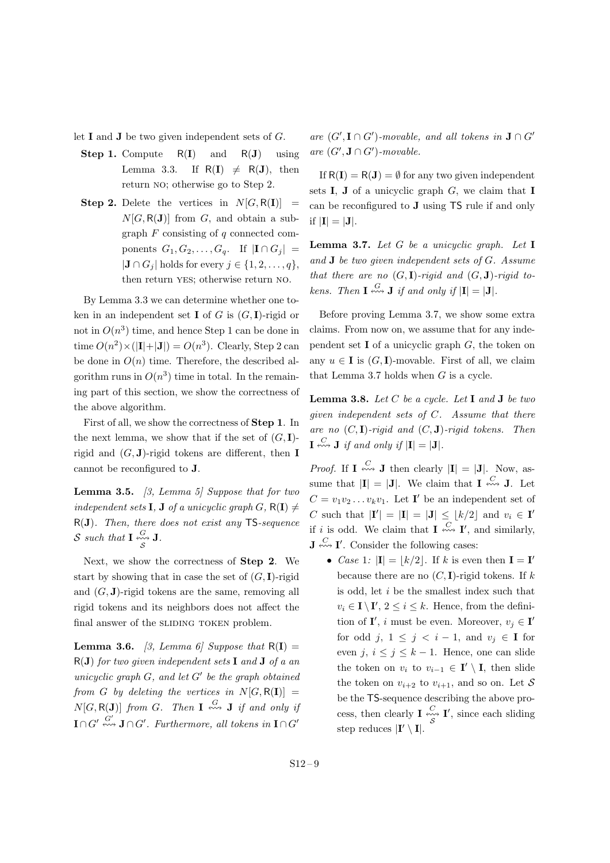let **I** and **J** be two given independent sets of *G*.

- **Step 1.** Compute R(**I**) and R(**J**) using Lemma 3.3. If  $R(I) \neq R(J)$ , then return no; otherwise go to Step 2.
- **Step 2.** Delete the vertices in  $N[G, R(\mathbf{I})] =$  $N[G, R(\mathbf{J})]$  from *G*, and obtain a subgraph *F* consisting of *q* connected components  $G_1, G_2, \ldots, G_q$ . If  $|\mathbf{I} \cap G_j|$  =  $|J \cap G_i|$  holds for every  $j \in \{1, 2, \ldots, q\}$ , then return yes; otherwise return no.

By Lemma 3.3 we can determine whether one token in an independent set **I** of *G* is  $(G, I)$ -rigid or not in  $O(n^3)$  time, and hence Step 1 can be done in time  $O(n^2) \times (|\mathbf{I}| + |\mathbf{J}|) = O(n^3)$ . Clearly, Step 2 can be done in  $O(n)$  time. Therefore, the described algorithm runs in  $O(n^3)$  time in total. In the remaining part of this section, we show the correctness of the above algorithm.

First of all, we show the correctness of **Step 1**. In the next lemma, we show that if the set of  $(G, I)$ rigid and  $(G, J)$ -rigid tokens are different, then **I** cannot be reconfigured to **J**.

**Lemma 3.5.** *[3, Lemma 5] Suppose that for two independent sets* **I**, **J** *of a unicyclic graph*  $G$ ,  $R(\mathbf{I}) \neq$ R(**J**)*. Then, there does not exist any* TS*-sequence*  $\mathcal{S}$  *such that*  $\mathbf{I} \stackrel{G}{\sim} \mathcal{J}$ *.* 

*S*

Next, we show the correctness of **Step 2**. We start by showing that in case the set of  $(G, I)$ -rigid and  $(G, J)$ -rigid tokens are the same, removing all rigid tokens and its neighbors does not affect the final answer of the SLIDING TOKEN problem.

**Lemma 3.6.** *[3, Lemma 6] Suppose that*  $R(I)$  = R(**J**) *for two given independent sets* **I** *and* **J** *of a an unicyclic graph G, and let G′ be the graph obtained from G by deleting the vertices in*  $N[G, R(\mathbf{I})] =$  $N[G, \mathsf{R}(\mathbf{J})]$  *from G*. Then **I**  $\stackrel{G}{\leftrightsquigarrow}$  **J** *if and only if*  $\mathbf{I} \cap G' \stackrel{G'}{\nleftrightarrow} \mathbf{J} \cap G'$ . Furthermore, all tokens in  $\mathbf{I} \cap G'$ 

 $are\ (G', \mathbf{I} \cap G')$ *-movable, and all tokens in*  $\mathbf{J} \cap G'$  $are(G', \mathbf{J} \cap G')$ *-movable.* 

If  $R(I) = R(J) = \emptyset$  for any two given independent sets **I**, **J** of a unicyclic graph *G*, we claim that **I** can be reconfigured to **J** using TS rule if and only if  $|\mathbf{I}| = |\mathbf{J}|$ .

**Lemma 3.7.** *Let G be a unicyclic graph. Let* **I** *and* **J** *be two given independent sets of G. Assume that there are no*  $(G, I)$ *-rigid and*  $(G, J)$ *-rigid tokens.* Then  $\mathbf{I} \stackrel{G}{\leftrightsquigarrow} \mathbf{J}$  *if and only if*  $|\mathbf{I}| = |\mathbf{J}|$ *.* 

Before proving Lemma 3.7, we show some extra claims. From now on, we assume that for any independent set **I** of a unicyclic graph *G*, the token on any  $u \in I$  is  $(G, I)$ -movable. First of all, we claim that Lemma 3.7 holds when *G* is a cycle.

**Lemma 3.8.** *Let C be a cycle. Let* **I** *and* **J** *be two given independent sets of C. Assume that there are no* (*C,* **I**)*-rigid and* (*C,* **J**)*-rigid tokens. Then*  $\mathbf{I} \stackrel{C}{\leftrightsquigarrow} \mathbf{J}$  *if and only if*  $|\mathbf{I}| = |\mathbf{J}|.$ 

*Proof.* If **I**  $\stackrel{C}{\longleftrightarrow}$  **J** then clearly  $|\mathbf{I}| = |\mathbf{J}|$ . Now, assume that  $|\mathbf{I}| = |\mathbf{J}|$ . We claim that  $\mathbf{I} \stackrel{C}{\leftrightarrow} \mathbf{J}$ . Let  $C = v_1v_2 \ldots v_kv_1$ . Let **I**' be an independent set of *C* such that  $|{\bf I}'| = |{\bf I}| = |{\bf J}| \leq \lfloor k/2 \rfloor$  and  $v_i \in {\bf I}'$ if *i* is odd. We claim that **I**  $\stackrel{C}{\longleftrightarrow}$  **I'**, and similarly,  $\mathbf{J} \stackrel{C}{\n\leftrightarrow} \mathbf{I}'$ . Consider the following cases:

• *Case* 1*:*  $|\mathbf{I}| = \lfloor k/2 \rfloor$ . If *k* is even then  $\mathbf{I} = \mathbf{I}'$ because there are no  $(C, I)$ -rigid tokens. If  $k$ is odd, let *i* be the smallest index such that  $v_i \in I \setminus I'$ ,  $2 \leq i \leq k$ . Hence, from the definition of **I'**, *i* must be even. Moreover,  $v_j \in \mathbf{I}'$ for odd *j*,  $1 \leq j \leq i-1$ , and  $v_j \in \mathbf{I}$  for even  $j, i \leq j \leq k-1$ . Hence, one can slide the token on  $v_i$  to  $v_{i-1} \in I' \setminus I$ , then slide the token on  $v_{i+2}$  to  $v_{i+1}$ , and so on. Let S be the TS-sequence describing the above process, then clearly **I**  $\underset{S}{\overset{C}{\sim}}$ **I** *′* , since each sliding step reduces  $|\mathbf{I}' \setminus \mathbf{I}|$ .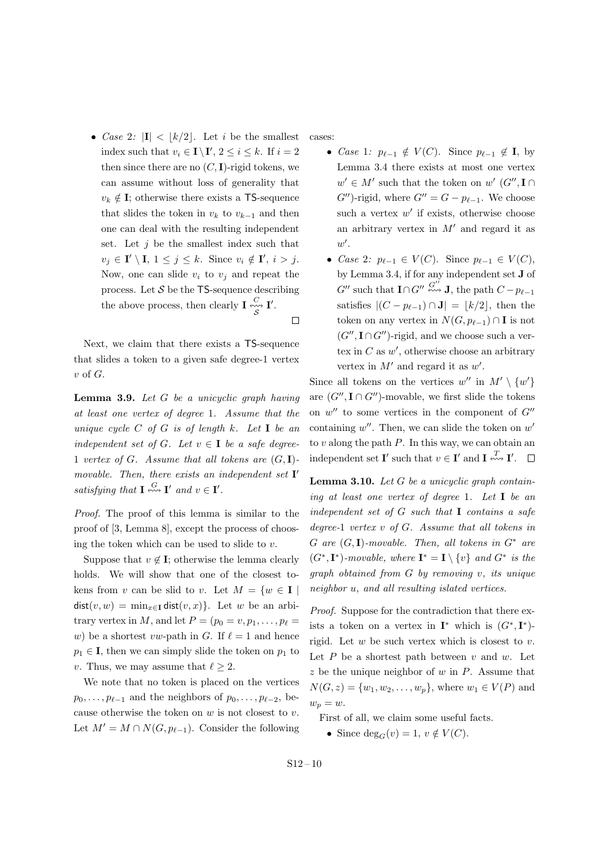• *Case* 2*:*  $|\mathbf{I}| < |k/2|$ . Let *i* be the smallest index such that  $v_i \in I \setminus I'$ ,  $2 \le i \le k$ . If  $i = 2$ then since there are no  $(C, I)$ -rigid tokens, we can assume without loss of generality that  $v_k \notin I$ ; otherwise there exists a TS-sequence that slides the token in  $v_k$  to  $v_{k-1}$  and then one can deal with the resulting independent set. Let *j* be the smallest index such that  $v_j \in \mathbf{I}' \setminus \mathbf{I}, 1 \leq j \leq k$ . Since  $v_i \notin \mathbf{I}', i > j$ . Now, one can slide  $v_i$  to  $v_j$  and repeat the process. Let  $S$  be the  $TS$ -sequence describing the above process, then clearly  $\mathbf{I} \stackrel{C}{\sim} \mathbf{I}'$ . *S*  $\Box$ 

Next, we claim that there exists a TS-sequence that slides a token to a given safe degree-1 vertex *v* of *G*.

**Lemma 3.9.** *Let G be a unicyclic graph having at least one vertex of degree* 1*. Assume that the unique cycle C of G is of length k. Let* **I** *be an independent set of*  $G$ *. Let*  $v \in \mathbf{I}$  *be a safe degree-*1 *vertex of*  $G$ *. Assume that all tokens are*  $(G, I)$ *movable. Then, there exists an independent set* **I** *′ satisfying that*  $\mathbf{I} \stackrel{G}{\leftrightsquigarrow} \mathbf{I}'$  *and*  $v \in \mathbf{I}'$ *.* 

*Proof.* The proof of this lemma is similar to the proof of [3, Lemma 8], except the process of choosing the token which can be used to slide to *v*.

Suppose that  $v \notin I$ ; otherwise the lemma clearly holds. We will show that one of the closest tokens from *v* can be slid to *v*. Let  $M = \{w \in \mathbf{I} \mid$ dist $(v, w) = \min_{x \in \mathbf{I}} \text{dist}(v, x)$ . Let *w* be an arbitrary vertex in *M*, and let  $P = (p_0 = v, p_1, \ldots, p_\ell =$ *w*) be a shortest *vw*-path in *G*. If  $\ell = 1$  and hence  $p_1 \in I$ , then we can simply slide the token on  $p_1$  to *v*. Thus, we may assume that  $\ell \geq 2$ .

We note that no token is placed on the vertices  $p_0, \ldots, p_{\ell-1}$  and the neighbors of  $p_0, \ldots, p_{\ell-2}$ , because otherwise the token on *w* is not closest to *v*. Let  $M' = M \cap N(G, p_{\ell-1})$ . Consider the following cases:

- *Case* 1*:*  $p_{\ell-1} \notin V(C)$ . Since  $p_{\ell-1} \notin I$ , by Lemma 3.4 there exists at most one vertex  $w' \in M'$  such that the token on  $w'$  ( $G''$ ,  $\mathbf{I} \cap$ *G*<sup>′′</sup>)-rigid, where  $G'' = G - p_{\ell-1}$ . We choose such a vertex  $w'$  if exists, otherwise choose an arbitrary vertex in *M′* and regard it as *w ′* .
- *• Case* 2*:*  $p_{\ell-1} \in V(C)$ . Since  $p_{\ell-1} \in V(C)$ , by Lemma 3.4, if for any independent set **J** of  $G''$  such that  $\mathbf{I} \cap G'' \stackrel{G''}{\leftrightsquigarrow} \mathbf{J}$ , the path  $C - p_{\ell-1}$ satisfies  $|(C - p_{\ell-1}) \cap J| = |k/2|$ , then the token on any vertex in  $N(G, p_{\ell-1}) \cap \mathbf{I}$  is not  $(G''', \mathbf{I} \cap G'')$ -rigid, and we choose such a vertex in  $C$  as  $w'$ , otherwise choose an arbitrary vertex in *M′* and regard it as *w ′* .

Since all tokens on the vertices  $w''$  in  $M' \setminus \{w'\}$ are  $(G'', \mathbf{I} \cap G'')$ -movable, we first slide the tokens on *w ′′* to some vertices in the component of *G′′* containing *w ′′*. Then, we can slide the token on *w ′* to *v* along the path *P*. In this way, we can obtain an independent set **I'** such that  $v \in \mathbf{I}'$  and  $\mathbf{I} \stackrel{T}{\leftrightarrowtail} \mathbf{I}'$ .  $\Box$ 

**Lemma 3.10.** *Let G be a unicyclic graph containing at least one vertex of degree* 1*. Let* **I** *be an independent set of G such that* **I** *contains a safe degree-*1 *vertex v of G. Assume that all tokens in G are* (*G,* **I**)*-movable. Then, all tokens in G<sup>∗</sup> are*  $(G^*, \mathbf{I}^*)$ -movable, where  $\mathbf{I}^* = \mathbf{I} \setminus \{v\}$  and  $G^*$  is the *graph obtained from G by removing v, its unique neighbor u, and all resulting islated vertices.*

*Proof.* Suppose for the contradiction that there exists a token on a vertex in  $I^*$  which is  $(G^*, I^*)$ rigid. Let *w* be such vertex which is closest to *v*. Let  $P$  be a shortest path between  $v$  and  $w$ . Let *z* be the unique neighbor of *w* in *P*. Assume that  $N(G, z) = \{w_1, w_2, \dots, w_p\}$ , where  $w_1 \in V(P)$  and  $w_p = w$ .

First of all, we claim some useful facts.

• Since  $deg_G(v) = 1, v \notin V(C)$ .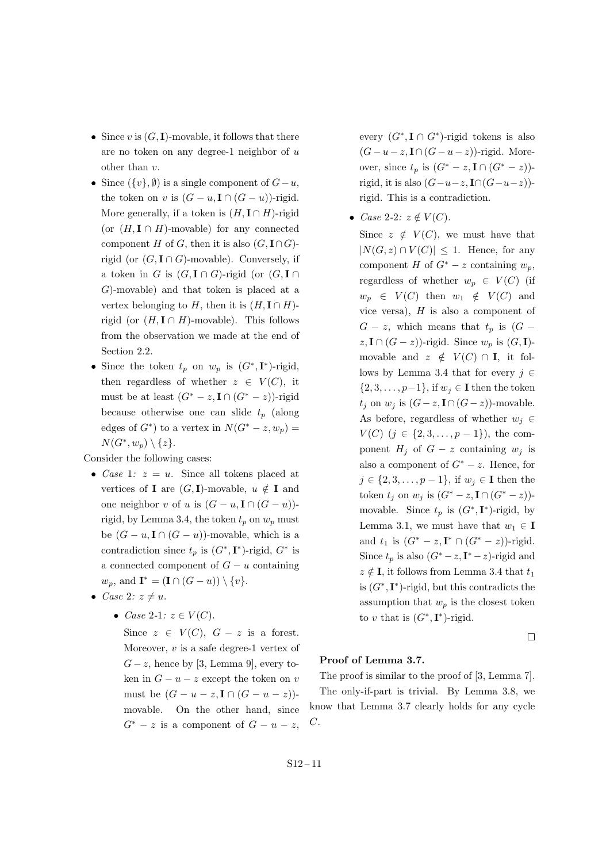- Since *v* is  $(G, I)$ -movable, it follows that there are no token on any degree-1 neighbor of *u* other than *v*.
- Since  $({v}, \emptyset)$  is a single component of  $G u$ , the token on *v* is  $(G - u, \mathbf{I} \cap (G - u))$ -rigid. More generally, if a token is  $(H, I \cap H)$ -rigid (or  $(H, I \cap H)$ -movable) for any connected component *H* of *G*, then it is also  $(G, \mathbf{I} \cap G)$ rigid (or  $(G, \mathbf{I} \cap G)$ -movable). Conversely, if a token in *G* is  $(G, \mathbf{I} \cap G)$ -rigid (or  $(G, \mathbf{I} \cap G)$ *G*)-movable) and that token is placed at a vertex belonging to *H*, then it is  $(H, I \cap H)$ rigid (or  $(H, I \cap H)$ -movable). This follows from the observation we made at the end of Section 2.2.
- Since the token  $t_p$  on  $w_p$  is  $(G^*, \mathbf{I}^*)$ -rigid, then regardless of whether  $z \in V(C)$ , it must be at least  $(G^* - z, \mathbf{I} \cap (G^* - z))$ -rigid because otherwise one can slide *t<sup>p</sup>* (along edges of  $G^*$ ) to a vertex in  $N(G^* - z, w_p) =$  $N(G^*, w_p) \setminus \{z\}.$

Consider the following cases:

- *• Case* 1*: z* = *u*. Since all tokens placed at vertices of **I** are  $(G, I)$ -movable,  $u \notin I$  and one neighbor *v* of *u* is  $(G - u, \mathbf{I} \cap (G - u))$ rigid, by Lemma 3.4, the token  $t_p$  on  $w_p$  must be  $(G - u, \mathbf{I} \cap (G - u))$ -movable, which is a contradiction since  $t_p$  is  $(G^*, \mathbf{I}^*)$ -rigid,  $G^*$  is a connected component of  $G - u$  containing  $w_p$ , and  $\mathbf{I}^* = (\mathbf{I} \cap (G - u)) \setminus \{v\}.$
- *Case* 2*:*  $z \neq u$ .
	- *• Case* 2*-*1*: z ∈ V* (*C*).

Since  $z \in V(C)$ ,  $G - z$  is a forest. Moreover, *v* is a safe degree-1 vertex of  $G - z$ , hence by [3, Lemma 9], every token in  $G - u - z$  except the token on *v* must be  $(G - u - z, I \cap (G - u - z))$ movable. On the other hand, since  $G^* - z$  is a component of  $G - u - z$ , every  $(G^*, \mathbf{I} \cap G^*)$ -rigid tokens is also  $(G - u - z, \mathbf{I} \cap (G - u - z))$ -rigid. Moreover, since  $t_p$  is  $(G^* - z, \mathbf{I} \cap (G^* - z))$ rigid, it is also  $(G-u-z, \mathbf{I} \cap (G-u-z))$ rigid. This is a contradiction.

• *Case* 2-2*:*  $z \notin V(C)$ .

Since  $z \notin V(C)$ , we must have that  $|N(G, z) ∩ V(C)| ≤ 1$ . Hence, for any component *H* of  $G^*$  – *z* containing  $w_p$ , regardless of whether  $w_p \in V(C)$  (if  $w_p \in V(C)$  then  $w_1 \notin V(C)$  and vice versa), *H* is also a component of  $G - z$ , which means that  $t_p$  is  $(G - z)$ *z*, **I** ∩ (*G* − *z*))-rigid. Since  $w_p$  is (*G*, **I**)movable and  $z \notin V(C) \cap I$ , it follows by Lemma 3.4 that for every *j ∈ {*2*,* 3*, . . . , p−*1*}*, if *w<sup>j</sup> ∈* **I** then the token  $t_j$  on  $w_j$  is  $(G-z, \mathbf{I} \cap (G-z))$ -movable. As before, regardless of whether  $w_j \in$ *V*(*C*) (*j* ∈ {2, 3, . . . , *p* − 1}), the component  $H_j$  of  $G - z$  containing  $w_j$  is also a component of  $G^* - z$ . Hence, for  $j \in \{2, 3, \ldots, p-1\}$ , if  $w_j \in \mathbf{I}$  then the token  $t_j$  on  $w_j$  is  $(G^* - z, \mathbf{I} \cap (G^* - z))$ movable. Since  $t_p$  is  $(G^*, \mathbf{I}^*)$ -rigid, by Lemma 3.1, we must have that  $w_1 \in \mathbf{I}$ and  $t_1$  is  $(G^* - z, \mathbf{I}^* \cap (G^* - z))$ -rigid. Since  $t_p$  is also  $(G^* - z, \mathbf{I}^* - z)$ -rigid and  $z \notin I$ , it follows from Lemma 3.4 that  $t_1$ is  $(G^*, \mathbf{I}^*)$ -rigid, but this contradicts the assumption that  $w_p$  is the closest token to *v* that is  $(G^*, \mathbf{I}^*)$ -rigid.

 $\Box$ 

#### **Proof of Lemma 3.7.**

The proof is similar to the proof of [3, Lemma 7]. The only-if-part is trivial. By Lemma 3.8, we know that Lemma 3.7 clearly holds for any cycle *C*.